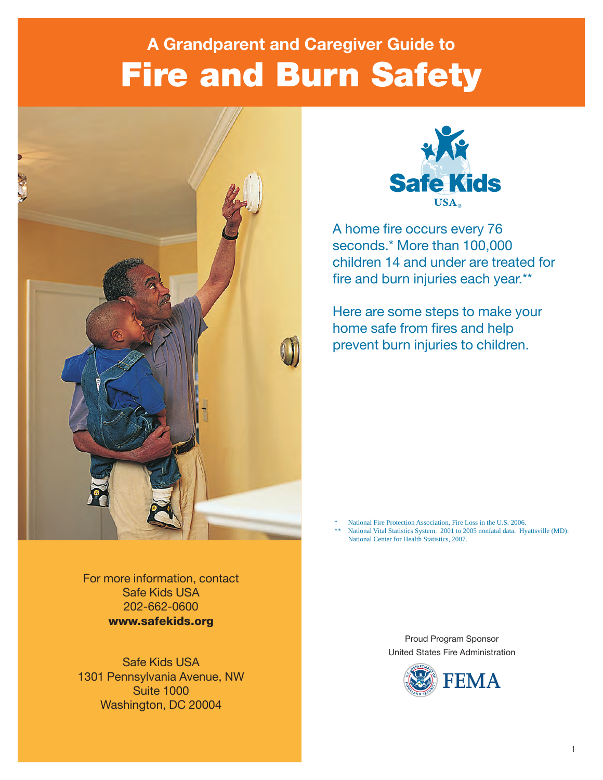# Fire and Burn Safety **A Grandparent and Caregiver Guide to**





A home fire occurs every 76 seconds.\* More than 100,000 children 14 and under are treated for fire and burn injuries each year.\*\*

Here are some steps to make your home safe from fires and help prevent burn injuries to children.

National Fire Protection Association, Fire Loss in the U.S. 2006. National Vital Statistics System. 2001 to 2005 nonfatal data. Hyattsville (MD):

National Center for Health Statistics, 2007.

For more information, contact Safe Kids USA 202-662-0600 www.safekids.org

Safe Kids USA 1301 Pennsylvania Avenue, NW Suite 1000 Washington, DC 20004

Proud Program Sponsor United States Fire Administration